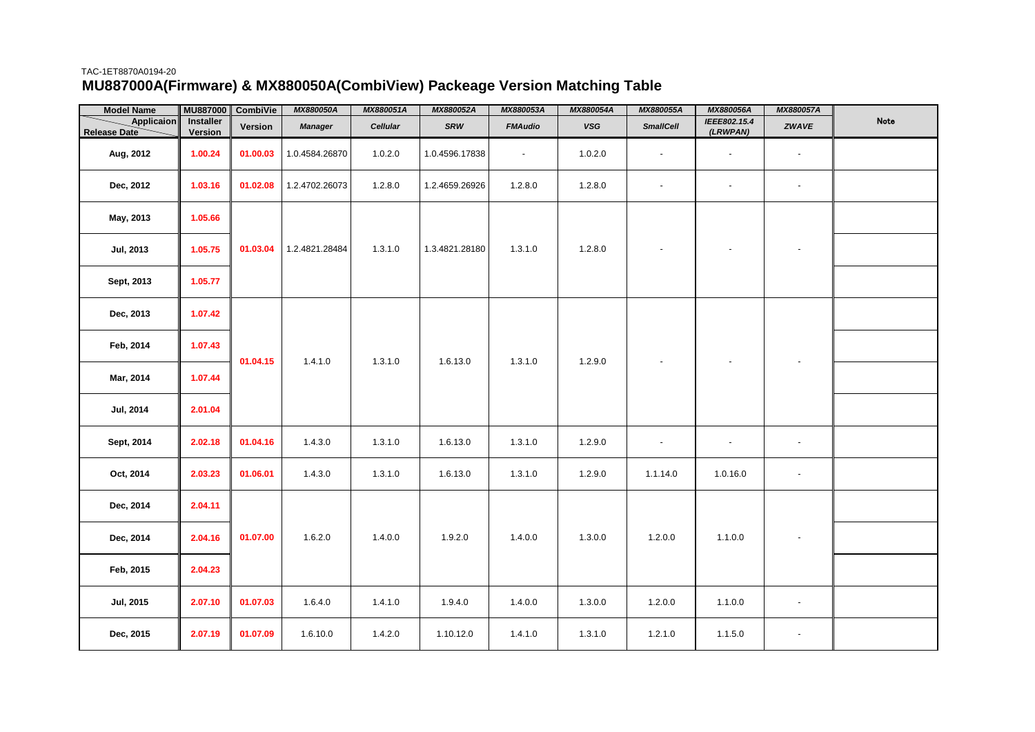## TAC-1ET8870A0194-20 **MU887000A(Firmware) & MX880050A(CombiView) Packeage Version Matching Table**

| <b>Model Name</b>          | MU887000                    | CombiVie | MX880050A      | MX880051A | MX880052A      | MX880053A      | MX880054A | MX880055A                | MX880056A                | MX880057A                |      |
|----------------------------|-----------------------------|----------|----------------|-----------|----------------|----------------|-----------|--------------------------|--------------------------|--------------------------|------|
| Applicaion<br>Release Date | <b>Installer</b><br>Version | Version  | <b>Manager</b> | Cellular  | SRW            | <b>FMAudio</b> | $_{VSG}$  | <b>SmallCell</b>         | IEEE802.15.4<br>(LRWPAN) | ZWAVE                    | Note |
| Aug, 2012                  | 1.00.24                     | 01.00.03 | 1.0.4584.26870 | 1.0.2.0   | 1.0.4596.17838 | $\sim$         | 1.0.2.0   | $\overline{\phantom{a}}$ | $\sim$                   | $\overline{\phantom{a}}$ |      |
| Dec, 2012                  | 1.03.16                     | 01.02.08 | 1.2.4702.26073 | 1.2.8.0   | 1.2.4659.26926 | 1.2.8.0        | 1.2.8.0   | $\overline{\phantom{a}}$ | $\overline{\phantom{a}}$ | $\blacksquare$           |      |
| May, 2013                  | 1.05.66                     |          |                |           |                |                |           |                          |                          |                          |      |
| Jul, 2013                  | 1.05.75                     | 01.03.04 | 1.2.4821.28484 | 1.3.1.0   | 1.3.4821.28180 | 1.3.1.0        | 1.2.8.0   |                          |                          | $\overline{\phantom{a}}$ |      |
| Sept, 2013                 | 1.05.77                     |          |                |           |                |                |           |                          |                          |                          |      |
| Dec, 2013                  | 1.07.42                     |          |                |           |                |                |           |                          |                          |                          |      |
| Feb, 2014                  | 1.07.43                     | 01.04.15 | 1.4.1.0        | 1.3.1.0   | 1.6.13.0       | 1.3.1.0        | 1.2.9.0   |                          |                          |                          |      |
| Mar, 2014                  | 1.07.44                     |          |                |           |                |                |           |                          |                          |                          |      |
| <b>Jul, 2014</b>           | 2.01.04                     |          |                |           |                |                |           |                          |                          |                          |      |
| Sept, 2014                 | 2.02.18                     | 01.04.16 | 1.4.3.0        | 1.3.1.0   | 1.6.13.0       | 1.3.1.0        | 1.2.9.0   | $\overline{\phantom{a}}$ | $\overline{\phantom{a}}$ | $\overline{\phantom{a}}$ |      |
| Oct, 2014                  | 2.03.23                     | 01.06.01 | 1.4.3.0        | 1.3.1.0   | 1.6.13.0       | 1.3.1.0        | 1.2.9.0   | 1.1.14.0                 | 1.0.16.0                 | $\blacksquare$           |      |
| Dec, 2014                  | 2.04.11                     |          |                |           |                |                |           |                          |                          |                          |      |
| Dec, 2014                  | 2.04.16                     | 01.07.00 | 1.6.2.0        | 1.4.0.0   | 1.9.2.0        | 1.4.0.0        | 1.3.0.0   | 1.2.0.0                  | 1.1.0.0                  | $\overline{\phantom{a}}$ |      |
| Feb, 2015                  | 2.04.23                     |          |                |           |                |                |           |                          |                          |                          |      |
| <b>Jul, 2015</b>           | 2.07.10                     | 01.07.03 | 1.6.4.0        | 1410      | 1.9.4.0        | 1.4.0.0        | 1.3.0.0   | 1.2.0.0                  | 1.1.0.0                  | $\blacksquare$           |      |
| Dec, 2015                  | 2.07.19                     | 01.07.09 | 1.6.10.0       | 1.4.2.0   | 1.10.12.0      | 1.4.1.0        | 1.3.1.0   | 1.2.1.0                  | 1.1.5.0                  | $\overline{\phantom{a}}$ |      |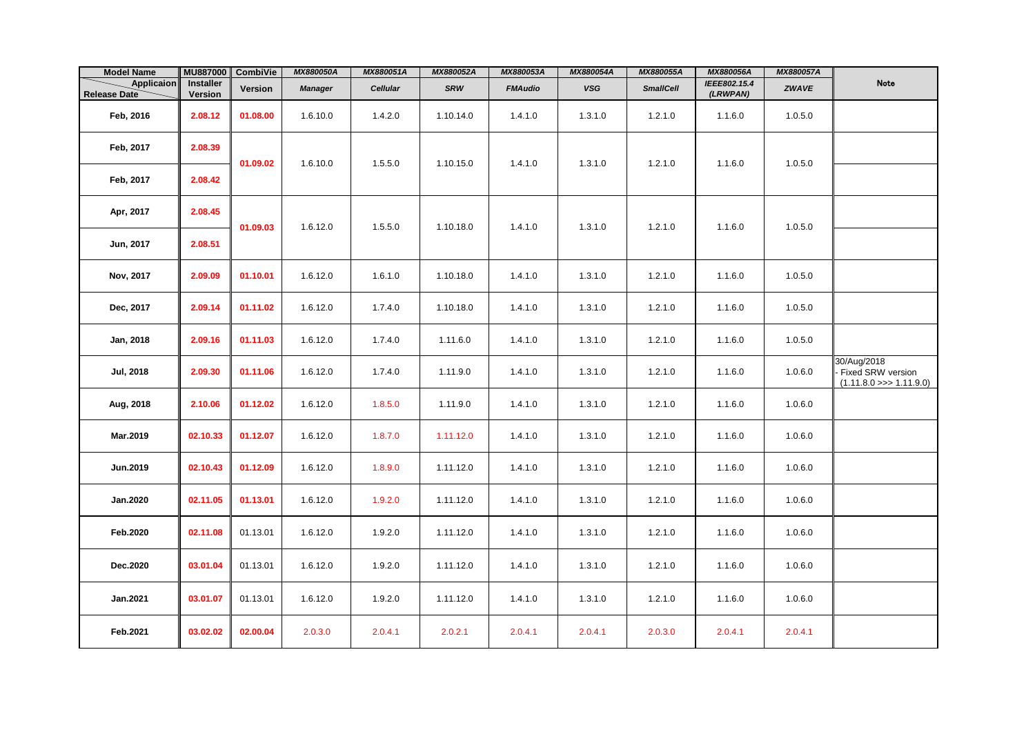| <b>Model Name</b>          | MU887000             | <b>CombiVie</b> | MX880050A      | MX880051A | MX880052A  | MX880053A      | MX880054A  | MX880055A        | MX880056A                | MX880057A    |                                                               |
|----------------------------|----------------------|-----------------|----------------|-----------|------------|----------------|------------|------------------|--------------------------|--------------|---------------------------------------------------------------|
| Applicaion<br>Release Date | Installer<br>Version | Version         | <b>Manager</b> | Cellular  | <b>SRW</b> | <b>FMAudio</b> | <b>VSG</b> | <b>SmallCell</b> | IEEE802.15.4<br>(LRWPAN) | <b>ZWAVE</b> | Note                                                          |
| Feb, 2016                  | 2.08.12              | 01.08.00        | 1.6.10.0       | 1.4.2.0   | 1.10.14.0  | 1.4.1.0        | 1.3.1.0    | 1.2.1.0          | 1.1.6.0                  | 1.0.5.0      |                                                               |
| Feb, 2017                  | 2.08.39              | 01.09.02        | 1.6.10.0       | 1.5.5.0   | 1.10.15.0  | 1.4.1.0        | 1.3.1.0    | 1.2.1.0          | 1.1.6.0                  | 1.0.5.0      |                                                               |
| Feb, 2017                  | 2.08.42              |                 |                |           |            |                |            |                  |                          |              |                                                               |
| Apr, 2017                  | 2.08.45              | 01.09.03        | 1.6.12.0       | 1.5.5.0   | 1.10.18.0  | 1.4.1.0        | 1.3.1.0    | 1.2.1.0          | 1.1.6.0                  | 1.0.5.0      |                                                               |
| Jun, 2017                  | 2.08.51              |                 |                |           |            |                |            |                  |                          |              |                                                               |
| Nov, 2017                  | 2.09.09              | 01.10.01        | 1.6.12.0       | 1.6.1.0   | 1.10.18.0  | 1.4.1.0        | 1.3.1.0    | 1.2.1.0          | 1.1.6.0                  | 1.0.5.0      |                                                               |
| Dec, 2017                  | 2.09.14              | 01.11.02        | 1.6.12.0       | 1.7.4.0   | 1.10.18.0  | 1.4.1.0        | 1.3.1.0    | 1.2.1.0          | 1.1.6.0                  | 1.0.5.0      |                                                               |
| Jan, 2018                  | 2.09.16              | 01.11.03        | 1.6.12.0       | 1.7.4.0   | 1.11.6.0   | 1.4.1.0        | 1.3.1.0    | 1.2.1.0          | 1.1.6.0                  | 1.0.5.0      |                                                               |
| <b>Jul, 2018</b>           | 2.09.30              | 01.11.06        | 1.6.12.0       | 1.7.4.0   | 1.11.9.0   | 1.4.1.0        | 1.3.1.0    | 1.2.1.0          | 1.1.6.0                  | 1.0.6.0      | 30/Aug/2018<br>Fixed SRW version<br>$(1.11.8.0 \gg 1.11.9.0)$ |
| Aug, 2018                  | 2.10.06              | 01.12.02        | 1.6.12.0       | 1.8.5.0   | 1.11.9.0   | 1.4.1.0        | 1.3.1.0    | 1.2.1.0          | 1.1.6.0                  | 1.0.6.0      |                                                               |
| Mar.2019                   | 02.10.33             | 01.12.07        | 1.6.12.0       | 1.8.7.0   | 1.11.12.0  | 1.4.1.0        | 1.3.1.0    | 1.2.1.0          | 1.1.6.0                  | 1.0.6.0      |                                                               |
| Jun.2019                   | 02.10.43             | 01.12.09        | 1.6.12.0       | 1.8.9.0   | 1.11.12.0  | 1.4.1.0        | 1.3.1.0    | 1.2.1.0          | 1.1.6.0                  | 1.0.6.0      |                                                               |
| Jan.2020                   | 02.11.05             | 01.13.01        | 1.6.12.0       | 1.9.2.0   | 1.11.12.0  | 1.4.1.0        | 1.3.1.0    | 1.2.1.0          | 1.1.6.0                  | 1.0.6.0      |                                                               |
| Feb.2020                   | 02.11.08             | 01.13.01        | 1.6.12.0       | 1.9.2.0   | 1.11.12.0  | 1.4.1.0        | 1.3.1.0    | 1.2.1.0          | 1.1.6.0                  | 1.0.6.0      |                                                               |
| Dec.2020                   | 03.01.04             | 01.13.01        | 1.6.12.0       | 1.9.2.0   | 1.11.12.0  | 1.4.1.0        | 1.3.1.0    | 1.2.1.0          | 1.1.6.0                  | 1.0.6.0      |                                                               |
| Jan.2021                   | 03.01.07             | 01.13.01        | 1.6.12.0       | 1.9.2.0   | 1.11.12.0  | 1.4.1.0        | 1.3.1.0    | 1.2.1.0          | 1.1.6.0                  | 1.0.6.0      |                                                               |
| Feb.2021                   | 03.02.02             | 02.00.04        | 2.0.3.0        | 2.0.4.1   | 2.0.2.1    | 2.0.4.1        | 2.0.4.1    | 2.0.3.0          | 2.0.4.1                  | 2.0.4.1      |                                                               |